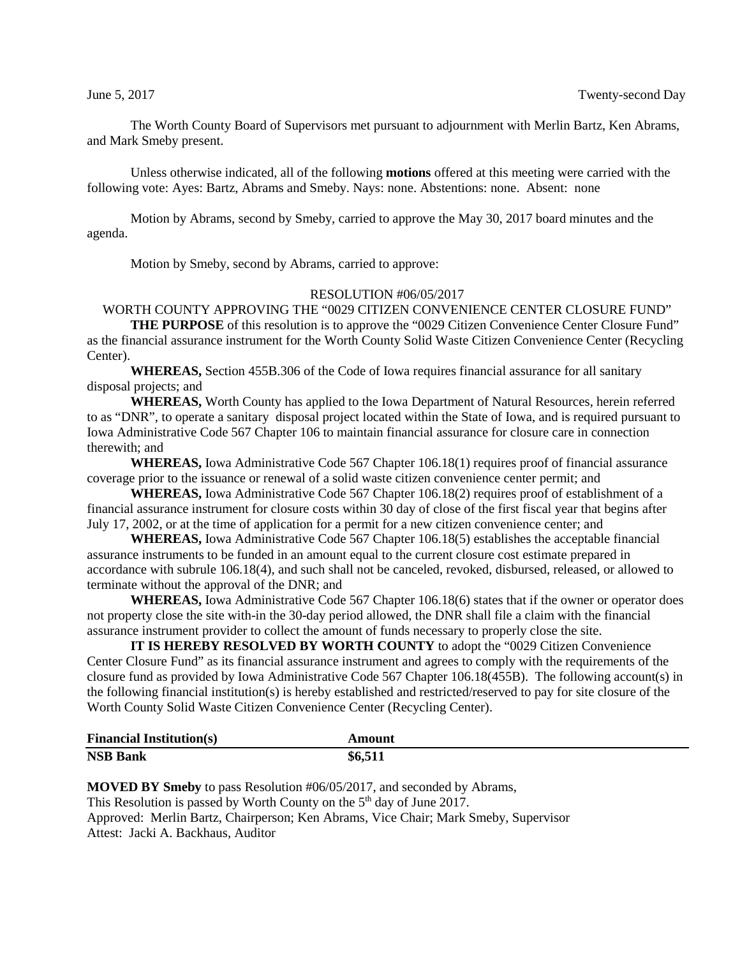The Worth County Board of Supervisors met pursuant to adjournment with Merlin Bartz, Ken Abrams, and Mark Smeby present.

Unless otherwise indicated, all of the following **motions** offered at this meeting were carried with the following vote: Ayes: Bartz, Abrams and Smeby. Nays: none. Abstentions: none. Absent: none

Motion by Abrams, second by Smeby, carried to approve the May 30, 2017 board minutes and the agenda.

Motion by Smeby, second by Abrams, carried to approve:

### RESOLUTION #06/05/2017

# WORTH COUNTY APPROVING THE "0029 CITIZEN CONVENIENCE CENTER CLOSURE FUND"

**THE PURPOSE** of this resolution is to approve the "0029 Citizen Convenience Center Closure Fund" as the financial assurance instrument for the Worth County Solid Waste Citizen Convenience Center (Recycling Center).

**WHEREAS,** Section 455B.306 of the Code of Iowa requires financial assurance for all sanitary disposal projects; and

**WHEREAS,** Worth County has applied to the Iowa Department of Natural Resources, herein referred to as "DNR", to operate a sanitary disposal project located within the State of Iowa, and is required pursuant to Iowa Administrative Code 567 Chapter 106 to maintain financial assurance for closure care in connection therewith; and

**WHEREAS,** Iowa Administrative Code 567 Chapter 106.18(1) requires proof of financial assurance coverage prior to the issuance or renewal of a solid waste citizen convenience center permit; and

**WHEREAS,** Iowa Administrative Code 567 Chapter 106.18(2) requires proof of establishment of a financial assurance instrument for closure costs within 30 day of close of the first fiscal year that begins after July 17, 2002, or at the time of application for a permit for a new citizen convenience center; and

**WHEREAS,** Iowa Administrative Code 567 Chapter 106.18(5) establishes the acceptable financial assurance instruments to be funded in an amount equal to the current closure cost estimate prepared in accordance with subrule 106.18(4), and such shall not be canceled, revoked, disbursed, released, or allowed to terminate without the approval of the DNR; and

**WHEREAS,** Iowa Administrative Code 567 Chapter 106.18(6) states that if the owner or operator does not property close the site with-in the 30-day period allowed, the DNR shall file a claim with the financial assurance instrument provider to collect the amount of funds necessary to properly close the site.

**IT IS HEREBY RESOLVED BY WORTH COUNTY** to adopt the "0029 Citizen Convenience Center Closure Fund" as its financial assurance instrument and agrees to comply with the requirements of the closure fund as provided by Iowa Administrative Code 567 Chapter 106.18(455B). The following account(s) in the following financial institution(s) is hereby established and restricted/reserved to pay for site closure of the Worth County Solid Waste Citizen Convenience Center (Recycling Center).

| <b>Financial Institution(s)</b> | Amount  |
|---------------------------------|---------|
| <b>NSB Bank</b>                 | \$6,511 |

**MOVED BY Smeby** to pass Resolution #06/05/2017, and seconded by Abrams, This Resolution is passed by Worth County on the  $5<sup>th</sup>$  day of June 2017. Approved: Merlin Bartz, Chairperson; Ken Abrams, Vice Chair; Mark Smeby, Supervisor Attest: Jacki A. Backhaus, Auditor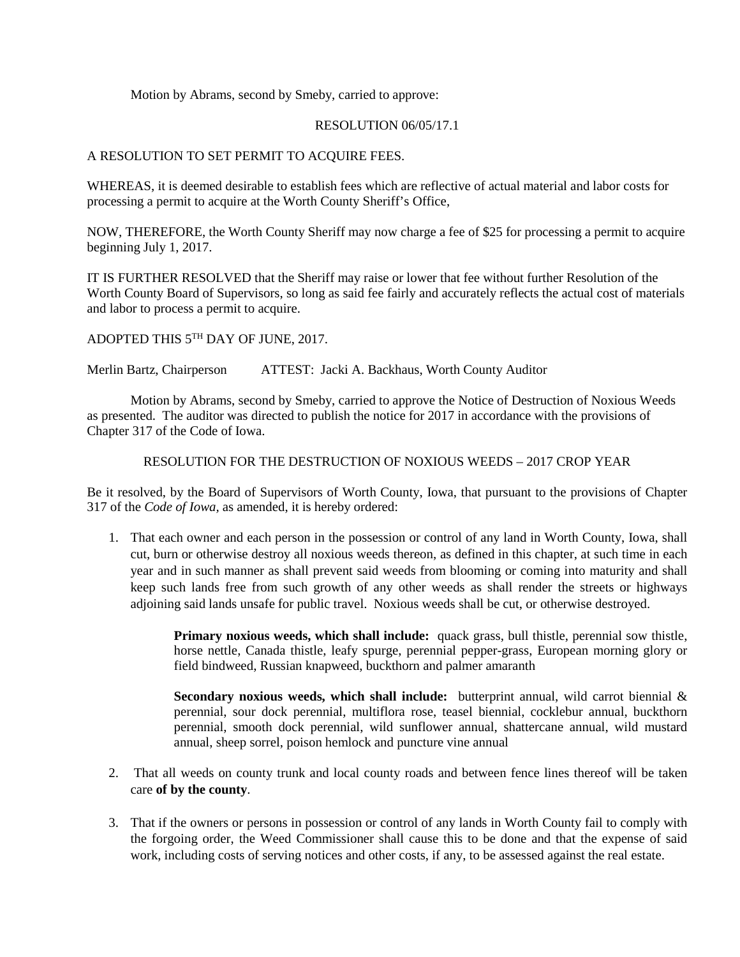Motion by Abrams, second by Smeby, carried to approve:

### RESOLUTION 06/05/17.1

## A RESOLUTION TO SET PERMIT TO ACQUIRE FEES.

WHEREAS, it is deemed desirable to establish fees which are reflective of actual material and labor costs for processing a permit to acquire at the Worth County Sheriff's Office,

NOW, THEREFORE, the Worth County Sheriff may now charge a fee of \$25 for processing a permit to acquire beginning July 1, 2017.

IT IS FURTHER RESOLVED that the Sheriff may raise or lower that fee without further Resolution of the Worth County Board of Supervisors, so long as said fee fairly and accurately reflects the actual cost of materials and labor to process a permit to acquire.

ADOPTED THIS 5TH DAY OF JUNE, 2017.

Merlin Bartz, Chairperson ATTEST: Jacki A. Backhaus, Worth County Auditor

Motion by Abrams, second by Smeby, carried to approve the Notice of Destruction of Noxious Weeds as presented. The auditor was directed to publish the notice for 2017 in accordance with the provisions of Chapter 317 of the Code of Iowa.

### RESOLUTION FOR THE DESTRUCTION OF NOXIOUS WEEDS – 2017 CROP YEAR

Be it resolved, by the Board of Supervisors of Worth County, Iowa, that pursuant to the provisions of Chapter 317 of the *Code of Iowa,* as amended, it is hereby ordered:

1. That each owner and each person in the possession or control of any land in Worth County, Iowa, shall cut, burn or otherwise destroy all noxious weeds thereon, as defined in this chapter, at such time in each year and in such manner as shall prevent said weeds from blooming or coming into maturity and shall keep such lands free from such growth of any other weeds as shall render the streets or highways adjoining said lands unsafe for public travel. Noxious weeds shall be cut, or otherwise destroyed.

> **Primary noxious weeds, which shall include:** quack grass, bull thistle, perennial sow thistle, horse nettle, Canada thistle, leafy spurge, perennial pepper-grass, European morning glory or field bindweed, Russian knapweed, buckthorn and palmer amaranth

> **Secondary noxious weeds, which shall include:** butterprint annual, wild carrot biennial & perennial, sour dock perennial, multiflora rose, teasel biennial, cocklebur annual, buckthorn perennial, smooth dock perennial, wild sunflower annual, shattercane annual, wild mustard annual, sheep sorrel, poison hemlock and puncture vine annual

- 2. That all weeds on county trunk and local county roads and between fence lines thereof will be taken care **of by the county**.
- 3. That if the owners or persons in possession or control of any lands in Worth County fail to comply with the forgoing order, the Weed Commissioner shall cause this to be done and that the expense of said work, including costs of serving notices and other costs, if any, to be assessed against the real estate.